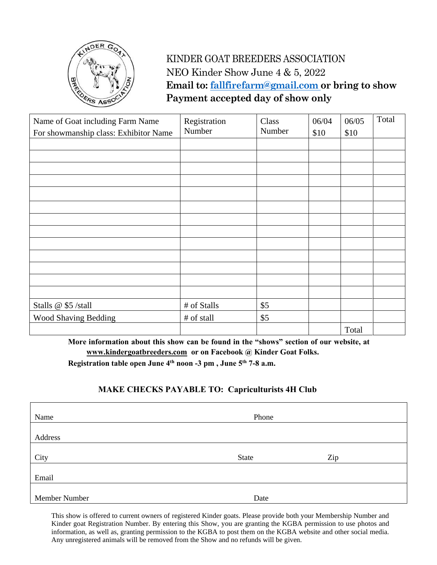

## KINDER GOAT BREEDERS ASSOCIATION NEO Kinder Show June 4 & 5, 2022  **Email to: [fallfirefarm@gmail.com](mailto:fallfirefarm@gmail.com) or bring to show Payment accepted day of show only**

| Name of Goat including Farm Name<br>For showmanship class: Exhibitor Name | Registration<br>Number | Class<br>Number | 06/04<br>\$10 | 06/05<br>\$10 | Total |
|---------------------------------------------------------------------------|------------------------|-----------------|---------------|---------------|-------|
|                                                                           |                        |                 |               |               |       |
|                                                                           |                        |                 |               |               |       |
|                                                                           |                        |                 |               |               |       |
|                                                                           |                        |                 |               |               |       |
|                                                                           |                        |                 |               |               |       |
|                                                                           |                        |                 |               |               |       |
|                                                                           |                        |                 |               |               |       |
|                                                                           |                        |                 |               |               |       |
|                                                                           |                        |                 |               |               |       |
|                                                                           |                        |                 |               |               |       |
|                                                                           |                        |                 |               |               |       |
|                                                                           |                        |                 |               |               |       |
|                                                                           |                        |                 |               |               |       |
| Stalls @ \$5 /stall                                                       | # of Stalls            | \$5             |               |               |       |
| <b>Wood Shaving Bedding</b>                                               | # of stall             | \$5             |               |               |       |
|                                                                           |                        |                 |               | Total         |       |

**More information about this show can be found in the "shows" section of our website, at [www.kindergoatbreeders.com](http://www.kindergoatbreeders.com/) or on Facebook @ Kinder Goat Folks.**

**Registration table open June 4th noon -3 pm , June 5 th 7-8 a.m.** 

## **MAKE CHECKS PAYABLE TO: Capriculturists 4H Club**

| Name          | Phone |     |  |  |
|---------------|-------|-----|--|--|
|               |       |     |  |  |
| Address       |       |     |  |  |
|               |       |     |  |  |
| City          | State | Zip |  |  |
|               |       |     |  |  |
| Email         |       |     |  |  |
|               |       |     |  |  |
| Member Number | Date  |     |  |  |

This show is offered to current owners of registered Kinder goats. Please provide both your Membership Number and Kinder goat Registration Number. By entering this Show, you are granting the KGBA permission to use photos and information, as well as, granting permission to the KGBA to post them on the KGBA website and other social media. Any unregistered animals will be removed from the Show and no refunds will be given.